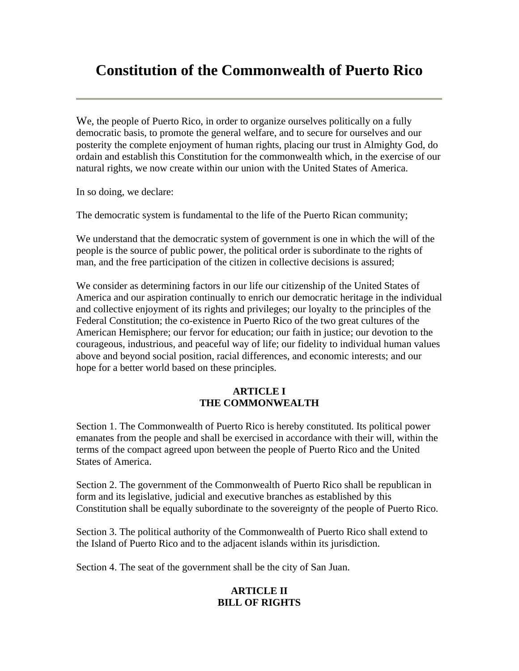# **Constitution of the Commonwealth of Puerto Rico**

We, the people of Puerto Rico, in order to organize ourselves politically on a fully democratic basis, to promote the general welfare, and to secure for ourselves and our posterity the complete enjoyment of human rights, placing our trust in Almighty God, do ordain and establish this Constitution for the commonwealth which, in the exercise of our natural rights, we now create within our union with the United States of America.

In so doing, we declare:

The democratic system is fundamental to the life of the Puerto Rican community;

We understand that the democratic system of government is one in which the will of the people is the source of public power, the political order is subordinate to the rights of man, and the free participation of the citizen in collective decisions is assured;

We consider as determining factors in our life our citizenship of the United States of America and our aspiration continually to enrich our democratic heritage in the individual and collective enjoyment of its rights and privileges; our loyalty to the principles of the Federal Constitution; the co-existence in Puerto Rico of the two great cultures of the American Hemisphere; our fervor for education; our faith in justice; our devotion to the courageous, industrious, and peaceful way of life; our fidelity to individual human values above and beyond social position, racial differences, and economic interests; and our hope for a better world based on these principles.

# **ARTICLE I THE COMMONWEALTH**

Section 1. The Commonwealth of Puerto Rico is hereby constituted. Its political power emanates from the people and shall be exercised in accordance with their will, within the terms of the compact agreed upon between the people of Puerto Rico and the United States of America.

Section 2. The government of the Commonwealth of Puerto Rico shall be republican in form and its legislative, judicial and executive branches as established by this Constitution shall be equally subordinate to the sovereignty of the people of Puerto Rico.

Section 3. The political authority of the Commonwealth of Puerto Rico shall extend to the Island of Puerto Rico and to the adjacent islands within its jurisdiction.

Section 4. The seat of the government shall be the city of San Juan.

# **ARTICLE II BILL OF RIGHTS**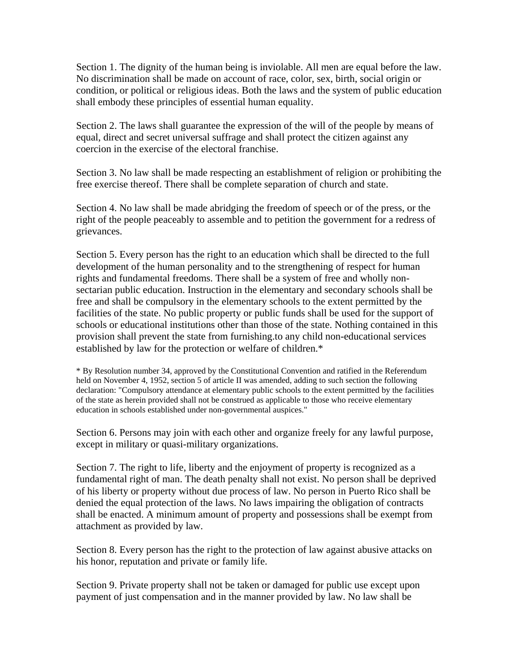Section 1. The dignity of the human being is inviolable. All men are equal before the law. No discrimination shall be made on account of race, color, sex, birth, social origin or condition, or political or religious ideas. Both the laws and the system of public education shall embody these principles of essential human equality.

Section 2. The laws shall guarantee the expression of the will of the people by means of equal, direct and secret universal suffrage and shall protect the citizen against any coercion in the exercise of the electoral franchise.

Section 3. No law shall be made respecting an establishment of religion or prohibiting the free exercise thereof. There shall be complete separation of church and state.

Section 4. No law shall be made abridging the freedom of speech or of the press, or the right of the people peaceably to assemble and to petition the government for a redress of grievances.

Section 5. Every person has the right to an education which shall be directed to the full development of the human personality and to the strengthening of respect for human rights and fundamental freedoms. There shall be a system of free and wholly nonsectarian public education. Instruction in the elementary and secondary schools shall be free and shall be compulsory in the elementary schools to the extent permitted by the facilities of the state. No public property or public funds shall be used for the support of schools or educational institutions other than those of the state. Nothing contained in this provision shall prevent the state from furnishing.to any child non-educational services established by law for the protection or welfare of children.\*

\* By Resolution number 34, approved by the Constitutional Convention and ratified in the Referendum held on November 4, 1952, section 5 of article II was amended, adding to such section the following declaration: "Compulsory attendance at elementary public schools to the extent permitted by the facilities of the state as herein provided shall not be construed as applicable to those who receive elementary education in schools established under non-governmental auspices."

Section 6. Persons may join with each other and organize freely for any lawful purpose, except in military or quasi-military organizations.

Section 7. The right to life, liberty and the enjoyment of property is recognized as a fundamental right of man. The death penalty shall not exist. No person shall be deprived of his liberty or property without due process of law. No person in Puerto Rico shall be denied the equal protection of the laws. No laws impairing the obligation of contracts shall be enacted. A minimum amount of property and possessions shall be exempt from attachment as provided by law.

Section 8. Every person has the right to the protection of law against abusive attacks on his honor, reputation and private or family life.

Section 9. Private property shall not be taken or damaged for public use except upon payment of just compensation and in the manner provided by law. No law shall be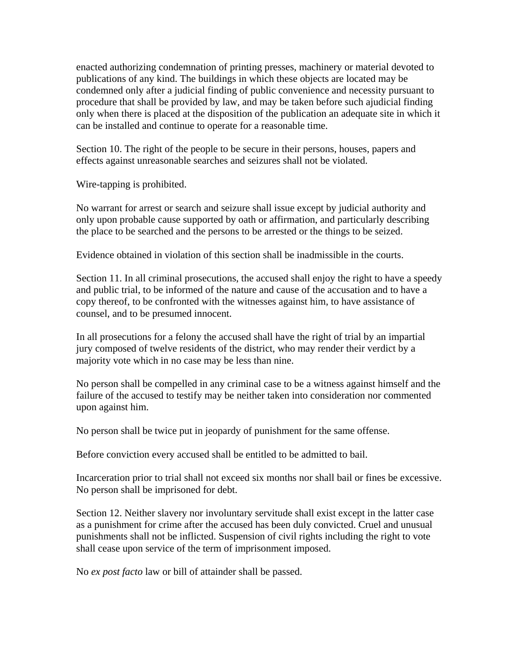enacted authorizing condemnation of printing presses, machinery or material devoted to publications of any kind. The buildings in which these objects are located may be condemned only after a judicial finding of public convenience and necessity pursuant to procedure that shall be provided by law, and may be taken before such ajudicial finding only when there is placed at the disposition of the publication an adequate site in which it can be installed and continue to operate for a reasonable time.

Section 10. The right of the people to be secure in their persons, houses, papers and effects against unreasonable searches and seizures shall not be violated.

Wire-tapping is prohibited.

No warrant for arrest or search and seizure shall issue except by judicial authority and only upon probable cause supported by oath or affirmation, and particularly describing the place to be searched and the persons to be arrested or the things to be seized.

Evidence obtained in violation of this section shall be inadmissible in the courts.

Section 11. In all criminal prosecutions, the accused shall enjoy the right to have a speedy and public trial, to be informed of the nature and cause of the accusation and to have a copy thereof, to be confronted with the witnesses against him, to have assistance of counsel, and to be presumed innocent.

In all prosecutions for a felony the accused shall have the right of trial by an impartial jury composed of twelve residents of the district, who may render their verdict by a majority vote which in no case may be less than nine.

No person shall be compelled in any criminal case to be a witness against himself and the failure of the accused to testify may be neither taken into consideration nor commented upon against him.

No person shall be twice put in jeopardy of punishment for the same offense.

Before conviction every accused shall be entitled to be admitted to bail.

Incarceration prior to trial shall not exceed six months nor shall bail or fines be excessive. No person shall be imprisoned for debt.

Section 12. Neither slavery nor involuntary servitude shall exist except in the latter case as a punishment for crime after the accused has been duly convicted. Cruel and unusual punishments shall not be inflicted. Suspension of civil rights including the right to vote shall cease upon service of the term of imprisonment imposed.

No *ex post facto* law or bill of attainder shall be passed.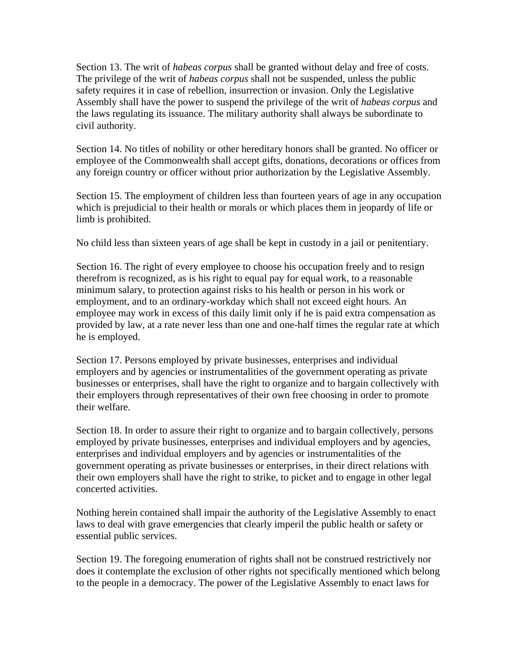Section 13. The writ of *habeas corpus* shall be granted without delay and free of costs. The privilege of the writ of *habeas corpus* shall not be suspended, unless the public safety requires it in case of rebellion, insurrection or invasion. Only the Legislative Assembly shall have the power to suspend the privilege of the writ of *habeas corpus* and the laws regulating its issuance. The military authority shall always be subordinate to civil authority.

Section 14. No titles of nobility or other hereditary honors shall be granted. No officer or employee of the Commonwealth shall accept gifts, donations, decorations or offices from any foreign country or officer without prior authorization by the Legislative Assembly.

Section 15. The employment of children less than fourteen years of age in any occupation which is prejudicial to their health or morals or which places them in jeopardy of life or limb is prohibited.

No child less than sixteen years of age shall be kept in custody in a jail or penitentiary.

Section 16. The right of every employee to choose his occupation freely and to resign therefrom is recognized, as is his right to equal pay for equal work, to a reasonable minimum salary, to protection against risks to his health or person in his work or employment, and to an ordinary-workday which shall not exceed eight hours. An employee may work in excess of this daily limit only if he is paid extra compensation as provided by law, at a rate never less than one and one-half times the regular rate at which he is employed.

Section 17. Persons employed by private businesses, enterprises and individual employers and by agencies or instrumentalities of the government operating as private businesses or enterprises, shall have the right to organize and to bargain collectively with their employers through representatives of their own free choosing in order to promote their welfare.

Section 18. In order to assure their right to organize and to bargain collectively, persons employed by private businesses, enterprises and individual employers and by agencies, enterprises and individual employers and by agencies or instrumentalities of the government operating as private businesses or enterprises, in their direct relations with their own employers shall have the right to strike, to picket and to engage in other legal concerted activities.

Nothing herein contained shall impair the authority of the Legislative Assembly to enact laws to deal with grave emergencies that clearly imperil the public health or safety or essential public services.

Section 19. The foregoing enumeration of rights shall not be construed restrictively nor does it contemplate the exclusion of other rights not specifically mentioned which belong to the people in a democracy. The power of the Legislative Assembly to enact laws for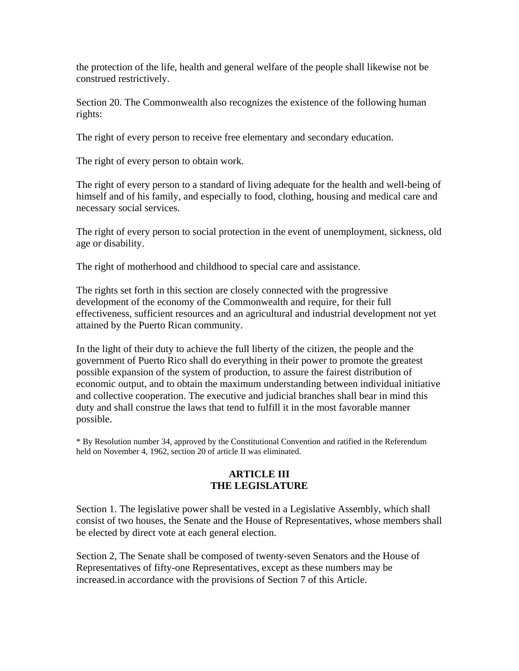the protection of the life, health and general welfare of the people shall likewise not be construed restrictively.

Section 20. The Commonwealth also recognizes the existence of the following human rights:

The right of every person to receive free elementary and secondary education.

The right of every person to obtain work.

The right of every person to a standard of living adequate for the health and well-being of himself and of his family, and especially to food, clothing, housing and medical care and necessary social services.

The right of every person to social protection in the event of unemployment, sickness, old age or disability.

The right of motherhood and childhood to special care and assistance.

The rights set forth in this section are closely connected with the progressive development of the economy of the Commonwealth and require, for their full effectiveness, sufficient resources and an agricultural and industrial development not yet attained by the Puerto Rican community.

In the light of their duty to achieve the full liberty of the citizen, the people and the government of Puerto Rico shall do everything in their power to promote the greatest possible expansion of the system of production, to assure the fairest distribution of economic output, and to obtain the maximum understanding between individual initiative and collective cooperation. The executive and judicial branches shall bear in mind this duty and shall construe the laws that tend to fulfill it in the most favorable manner possible.

\* By Resolution number 34, approved by the Constitutional Convention and ratified in the Referendum held on November 4, 1962, section 20 of article II was eliminated.

## **ARTICLE III THE LEGISLATURE**

Section 1. The legislative power shall be vested in a Legislative Assembly, which shall consist of two houses, the Senate and the House of Representatives, whose members shall be elected by direct vote at each general election.

Section 2, The Senate shall be composed of twenty-seven Senators and the House of Representatives of fifty-one Representatives, except as these numbers may be increased.in accordance with the provisions of Section 7 of this Article.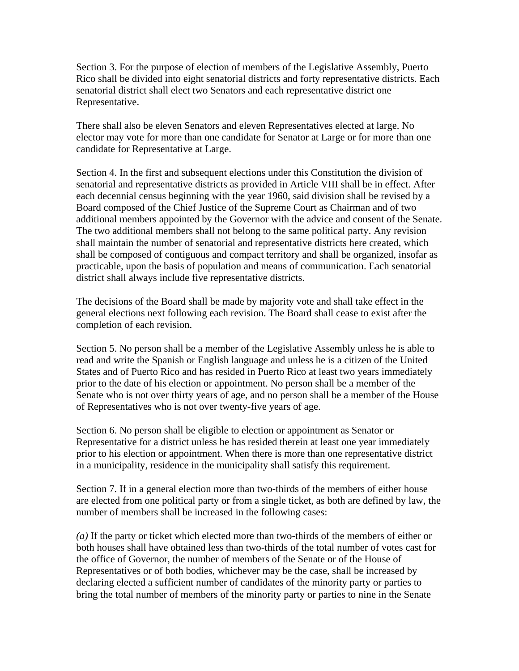Section 3. For the purpose of election of members of the Legislative Assembly, Puerto Rico shall be divided into eight senatorial districts and forty representative districts. Each senatorial district shall elect two Senators and each representative district one Representative.

There shall also be eleven Senators and eleven Representatives elected at large. No elector may vote for more than one candidate for Senator at Large or for more than one candidate for Representative at Large.

Section 4. In the first and subsequent elections under this Constitution the division of senatorial and representative districts as provided in Article VIII shall be in effect. After each decennial census beginning with the year 1960, said division shall be revised by a Board composed of the Chief Justice of the Supreme Court as Chairman and of two additional members appointed by the Governor with the advice and consent of the Senate. The two additional members shall not belong to the same political party. Any revision shall maintain the number of senatorial and representative districts here created, which shall be composed of contiguous and compact territory and shall be organized, insofar as practicable, upon the basis of population and means of communication. Each senatorial district shall always include five representative districts.

The decisions of the Board shall be made by majority vote and shall take effect in the general elections next following each revision. The Board shall cease to exist after the completion of each revision.

Section 5. No person shall be a member of the Legislative Assembly unless he is able to read and write the Spanish or English language and unless he is a citizen of the United States and of Puerto Rico and has resided in Puerto Rico at least two years immediately prior to the date of his election or appointment. No person shall be a member of the Senate who is not over thirty years of age, and no person shall be a member of the House of Representatives who is not over twenty-five years of age.

Section 6. No person shall be eligible to election or appointment as Senator or Representative for a district unless he has resided therein at least one year immediately prior to his election or appointment. When there is more than one representative district in a municipality, residence in the municipality shall satisfy this requirement.

Section 7. If in a general election more than two-thirds of the members of either house are elected from one political party or from a single ticket, as both are defined by law, the number of members shall be increased in the following cases:

*(a)* If the party or ticket which elected more than two-thirds of the members of either or both houses shall have obtained less than two-thirds of the total number of votes cast for the office of Governor, the number of members of the Senate or of the House of Representatives or of both bodies, whichever may be the case, shall be increased by declaring elected a sufficient number of candidates of the minority party or parties to bring the total number of members of the minority party or parties to nine in the Senate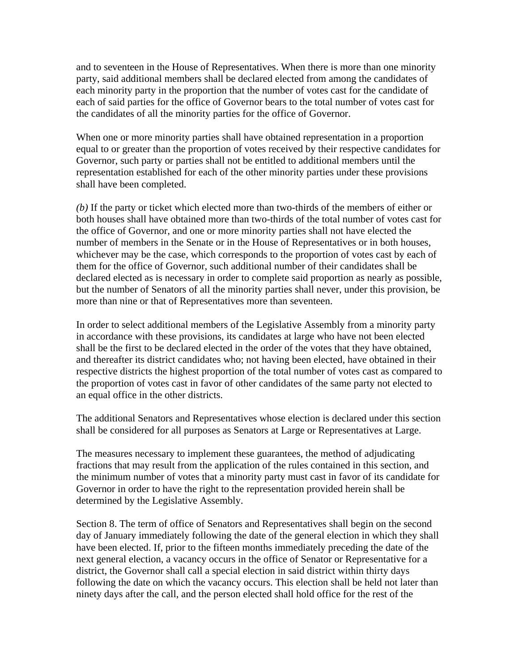and to seventeen in the House of Representatives. When there is more than one minority party, said additional members shall be declared elected from among the candidates of each minority party in the proportion that the number of votes cast for the candidate of each of said parties for the office of Governor bears to the total number of votes cast for the candidates of all the minority parties for the office of Governor.

When one or more minority parties shall have obtained representation in a proportion equal to or greater than the proportion of votes received by their respective candidates for Governor, such party or parties shall not be entitled to additional members until the representation established for each of the other minority parties under these provisions shall have been completed.

*(b)* If the party or ticket which elected more than two-thirds of the members of either or both houses shall have obtained more than two-thirds of the total number of votes cast for the office of Governor, and one or more minority parties shall not have elected the number of members in the Senate or in the House of Representatives or in both houses, whichever may be the case, which corresponds to the proportion of votes cast by each of them for the office of Governor, such additional number of their candidates shall be declared elected as is necessary in order to complete said proportion as nearly as possible, but the number of Senators of all the minority parties shall never, under this provision, be more than nine or that of Representatives more than seventeen.

In order to select additional members of the Legislative Assembly from a minority party in accordance with these provisions, its candidates at large who have not been elected shall be the first to be declared elected in the order of the votes that they have obtained, and thereafter its district candidates who; not having been elected, have obtained in their respective districts the highest proportion of the total number of votes cast as compared to the proportion of votes cast in favor of other candidates of the same party not elected to an equal office in the other districts.

The additional Senators and Representatives whose election is declared under this section shall be considered for all purposes as Senators at Large or Representatives at Large.

The measures necessary to implement these guarantees, the method of adjudicating fractions that may result from the application of the rules contained in this section, and the minimum number of votes that a minority party must cast in favor of its candidate for Governor in order to have the right to the representation provided herein shall be determined by the Legislative Assembly.

Section 8. The term of office of Senators and Representatives shall begin on the second day of January immediately following the date of the general election in which they shall have been elected. If, prior to the fifteen months immediately preceding the date of the next general election, a vacancy occurs in the office of Senator or Representative for a district, the Governor shall call a special election in said district within thirty days following the date on which the vacancy occurs. This election shall be held not later than ninety days after the call, and the person elected shall hold office for the rest of the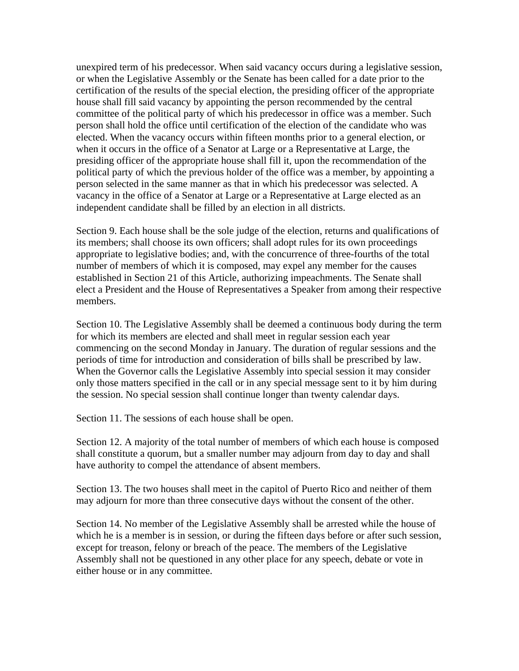unexpired term of his predecessor. When said vacancy occurs during a legislative session, or when the Legislative Assembly or the Senate has been called for a date prior to the certification of the results of the special election, the presiding officer of the appropriate house shall fill said vacancy by appointing the person recommended by the central committee of the political party of which his predecessor in office was a member. Such person shall hold the office until certification of the election of the candidate who was elected. When the vacancy occurs within fifteen months prior to a general election, or when it occurs in the office of a Senator at Large or a Representative at Large, the presiding officer of the appropriate house shall fill it, upon the recommendation of the political party of which the previous holder of the office was a member, by appointing a person selected in the same manner as that in which his predecessor was selected. A vacancy in the office of a Senator at Large or a Representative at Large elected as an independent candidate shall be filled by an election in all districts.

Section 9. Each house shall be the sole judge of the election, returns and qualifications of its members; shall choose its own officers; shall adopt rules for its own proceedings appropriate to legislative bodies; and, with the concurrence of three-fourths of the total number of members of which it is composed, may expel any member for the causes established in Section 21 of this Article, authorizing impeachments. The Senate shall elect a President and the House of Representatives a Speaker from among their respective members.

Section 10. The Legislative Assembly shall be deemed a continuous body during the term for which its members are elected and shall meet in regular session each year commencing on the second Monday in January. The duration of regular sessions and the periods of time for introduction and consideration of bills shall be prescribed by law. When the Governor calls the Legislative Assembly into special session it may consider only those matters specified in the call or in any special message sent to it by him during the session. No special session shall continue longer than twenty calendar days.

Section 11. The sessions of each house shall be open.

Section 12. A majority of the total number of members of which each house is composed shall constitute a quorum, but a smaller number may adjourn from day to day and shall have authority to compel the attendance of absent members.

Section 13. The two houses shall meet in the capitol of Puerto Rico and neither of them may adjourn for more than three consecutive days without the consent of the other.

Section 14. No member of the Legislative Assembly shall be arrested while the house of which he is a member is in session, or during the fifteen days before or after such session, except for treason, felony or breach of the peace. The members of the Legislative Assembly shall not be questioned in any other place for any speech, debate or vote in either house or in any committee.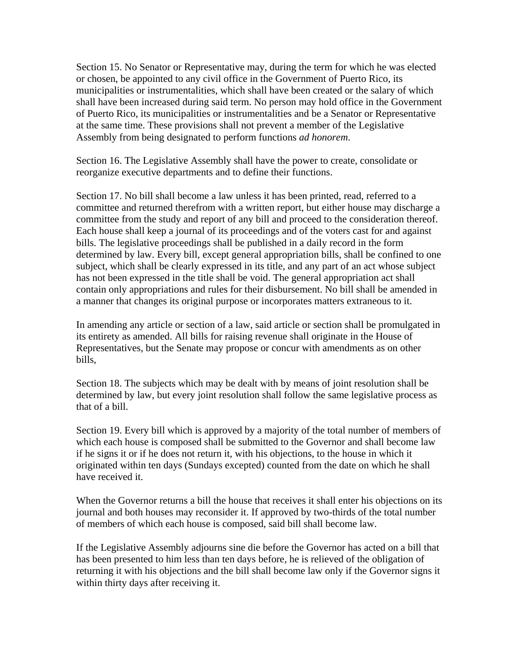Section 15. No Senator or Representative may, during the term for which he was elected or chosen, be appointed to any civil office in the Government of Puerto Rico, its municipalities or instrumentalities, which shall have been created or the salary of which shall have been increased during said term. No person may hold office in the Government of Puerto Rico, its municipalities or instrumentalities and be a Senator or Representative at the same time. These provisions shall not prevent a member of the Legislative Assembly from being designated to perform functions *ad honorem*.

Section 16. The Legislative Assembly shall have the power to create, consolidate or reorganize executive departments and to define their functions.

Section 17. No bill shall become a law unless it has been printed, read, referred to a committee and returned therefrom with a written report, but either house may discharge a committee from the study and report of any bill and proceed to the consideration thereof. Each house shall keep a journal of its proceedings and of the voters cast for and against bills. The legislative proceedings shall be published in a daily record in the form determined by law. Every bill, except general appropriation bills, shall be confined to one subject, which shall be clearly expressed in its title, and any part of an act whose subject has not been expressed in the title shall be void. The general appropriation act shall contain only appropriations and rules for their disbursement. No bill shall be amended in a manner that changes its original purpose or incorporates matters extraneous to it.

In amending any article or section of a law, said article or section shall be promulgated in its entirety as amended. All bills for raising revenue shall originate in the House of Representatives, but the Senate may propose or concur with amendments as on other bills,

Section 18. The subjects which may be dealt with by means of joint resolution shall be determined by law, but every joint resolution shall follow the same legislative process as that of a bill.

Section 19. Every bill which is approved by a majority of the total number of members of which each house is composed shall be submitted to the Governor and shall become law if he signs it or if he does not return it, with his objections, to the house in which it originated within ten days (Sundays excepted) counted from the date on which he shall have received it.

When the Governor returns a bill the house that receives it shall enter his objections on its journal and both houses may reconsider it. If approved by two-thirds of the total number of members of which each house is composed, said bill shall become law.

If the Legislative Assembly adjourns sine die before the Governor has acted on a bill that has been presented to him less than ten days before, he is relieved of the obligation of returning it with his objections and the bill shall become law only if the Governor signs it within thirty days after receiving it.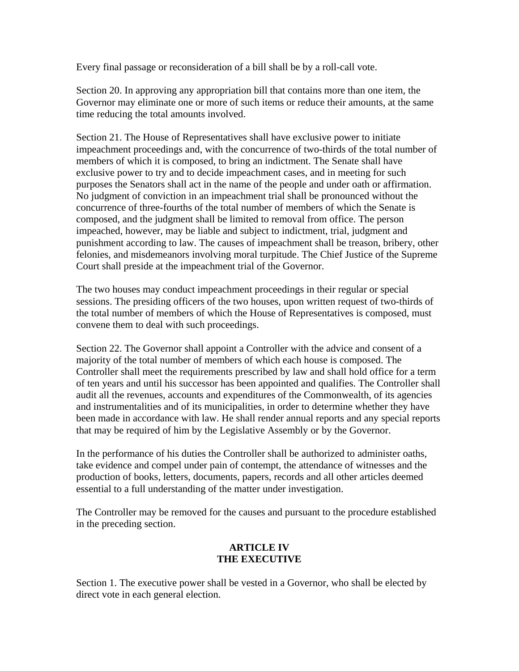Every final passage or reconsideration of a bill shall be by a roll-call vote.

Section 20. In approving any appropriation bill that contains more than one item, the Governor may eliminate one or more of such items or reduce their amounts, at the same time reducing the total amounts involved.

Section 21. The House of Representatives shall have exclusive power to initiate impeachment proceedings and, with the concurrence of two-thirds of the total number of members of which it is composed, to bring an indictment. The Senate shall have exclusive power to try and to decide impeachment cases, and in meeting for such purposes the Senators shall act in the name of the people and under oath or affirmation. No judgment of conviction in an impeachment trial shall be pronounced without the concurrence of three-fourths of the total number of members of which the Senate is composed, and the judgment shall be limited to removal from office. The person impeached, however, may be liable and subject to indictment, trial, judgment and punishment according to law. The causes of impeachment shall be treason, bribery, other felonies, and misdemeanors involving moral turpitude. The Chief Justice of the Supreme Court shall preside at the impeachment trial of the Governor.

The two houses may conduct impeachment proceedings in their regular or special sessions. The presiding officers of the two houses, upon written request of two-thirds of the total number of members of which the House of Representatives is composed, must convene them to deal with such proceedings.

Section 22. The Governor shall appoint a Controller with the advice and consent of a majority of the total number of members of which each house is composed. The Controller shall meet the requirements prescribed by law and shall hold office for a term of ten years and until his successor has been appointed and qualifies. The Controller shall audit all the revenues, accounts and expenditures of the Commonwealth, of its agencies and instrumentalities and of its municipalities, in order to determine whether they have been made in accordance with law. He shall render annual reports and any special reports that may be required of him by the Legislative Assembly or by the Governor.

In the performance of his duties the Controller shall be authorized to administer oaths, take evidence and compel under pain of contempt, the attendance of witnesses and the production of books, letters, documents, papers, records and all other articles deemed essential to a full understanding of the matter under investigation.

The Controller may be removed for the causes and pursuant to the procedure established in the preceding section.

# **ARTICLE IV THE EXECUTIVE**

Section 1. The executive power shall be vested in a Governor, who shall be elected by direct vote in each general election.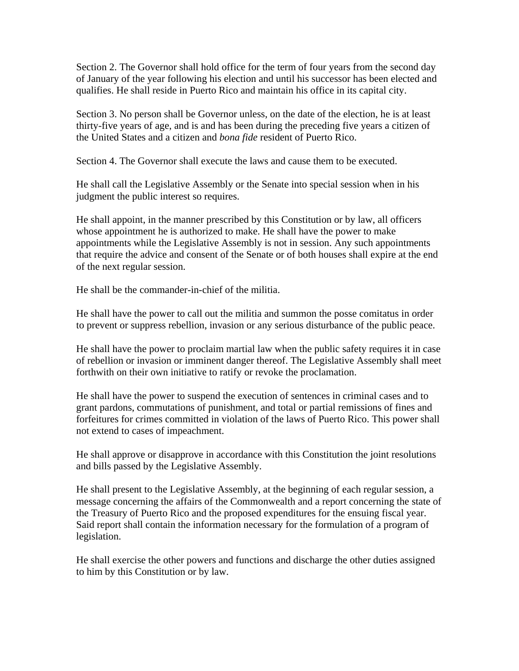Section 2. The Governor shall hold office for the term of four years from the second day of January of the year following his election and until his successor has been elected and qualifies. He shall reside in Puerto Rico and maintain his office in its capital city.

Section 3. No person shall be Governor unless, on the date of the election, he is at least thirty-five years of age, and is and has been during the preceding five years a citizen of the United States and a citizen and *bona fide* resident of Puerto Rico.

Section 4. The Governor shall execute the laws and cause them to be executed.

He shall call the Legislative Assembly or the Senate into special session when in his judgment the public interest so requires.

He shall appoint, in the manner prescribed by this Constitution or by law, all officers whose appointment he is authorized to make. He shall have the power to make appointments while the Legislative Assembly is not in session. Any such appointments that require the advice and consent of the Senate or of both houses shall expire at the end of the next regular session.

He shall be the commander-in-chief of the militia.

He shall have the power to call out the militia and summon the posse comitatus in order to prevent or suppress rebellion, invasion or any serious disturbance of the public peace.

He shall have the power to proclaim martial law when the public safety requires it in case of rebellion or invasion or imminent danger thereof. The Legislative Assembly shall meet forthwith on their own initiative to ratify or revoke the proclamation.

He shall have the power to suspend the execution of sentences in criminal cases and to grant pardons, commutations of punishment, and total or partial remissions of fines and forfeitures for crimes committed in violation of the laws of Puerto Rico. This power shall not extend to cases of impeachment.

He shall approve or disapprove in accordance with this Constitution the joint resolutions and bills passed by the Legislative Assembly.

He shall present to the Legislative Assembly, at the beginning of each regular session, a message concerning the affairs of the Commonwealth and a report concerning the state of the Treasury of Puerto Rico and the proposed expenditures for the ensuing fiscal year. Said report shall contain the information necessary for the formulation of a program of legislation.

He shall exercise the other powers and functions and discharge the other duties assigned to him by this Constitution or by law.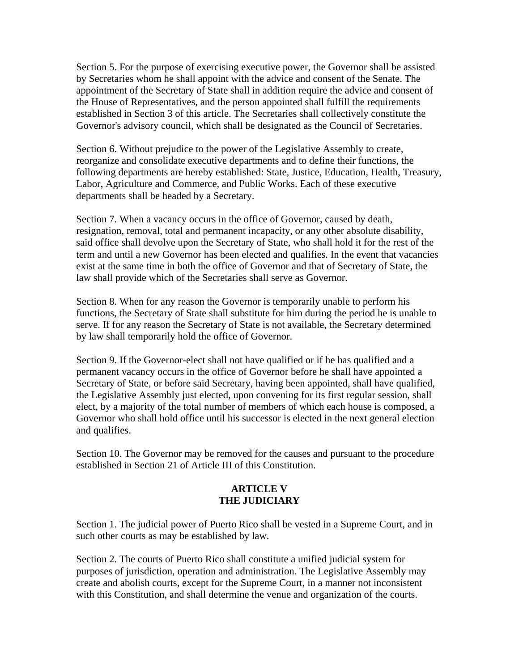Section 5. For the purpose of exercising executive power, the Governor shall be assisted by Secretaries whom he shall appoint with the advice and consent of the Senate. The appointment of the Secretary of State shall in addition require the advice and consent of the House of Representatives, and the person appointed shall fulfill the requirements established in Section 3 of this article. The Secretaries shall collectively constitute the Governor's advisory council, which shall be designated as the Council of Secretaries.

Section 6. Without prejudice to the power of the Legislative Assembly to create, reorganize and consolidate executive departments and to define their functions, the following departments are hereby established: State, Justice, Education, Health, Treasury, Labor, Agriculture and Commerce, and Public Works. Each of these executive departments shall be headed by a Secretary.

Section 7. When a vacancy occurs in the office of Governor, caused by death, resignation, removal, total and permanent incapacity, or any other absolute disability, said office shall devolve upon the Secretary of State, who shall hold it for the rest of the term and until a new Governor has been elected and qualifies. In the event that vacancies exist at the same time in both the office of Governor and that of Secretary of State, the law shall provide which of the Secretaries shall serve as Governor.

Section 8. When for any reason the Governor is temporarily unable to perform his functions, the Secretary of State shall substitute for him during the period he is unable to serve. If for any reason the Secretary of State is not available, the Secretary determined by law shall temporarily hold the office of Governor.

Section 9. If the Governor-elect shall not have qualified or if he has qualified and a permanent vacancy occurs in the office of Governor before he shall have appointed a Secretary of State, or before said Secretary, having been appointed, shall have qualified, the Legislative Assembly just elected, upon convening for its first regular session, shall elect, by a majority of the total number of members of which each house is composed, a Governor who shall hold office until his successor is elected in the next general election and qualifies.

Section 10. The Governor may be removed for the causes and pursuant to the procedure established in Section 21 of Article III of this Constitution.

#### **ARTICLE V THE JUDICIARY**

Section 1. The judicial power of Puerto Rico shall be vested in a Supreme Court, and in such other courts as may be established by law.

Section 2. The courts of Puerto Rico shall constitute a unified judicial system for purposes of jurisdiction, operation and administration. The Legislative Assembly may create and abolish courts, except for the Supreme Court, in a manner not inconsistent with this Constitution, and shall determine the venue and organization of the courts.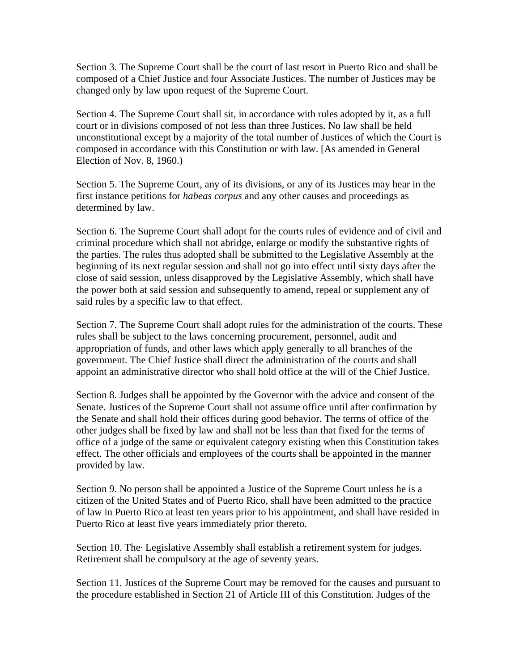Section 3. The Supreme Court shall be the court of last resort in Puerto Rico and shall be composed of a Chief Justice and four Associate Justices. The number of Justices may be changed only by law upon request of the Supreme Court.

Section 4. The Supreme Court shall sit, in accordance with rules adopted by it, as a full court or in divisions composed of not less than three Justices. No law shall be held unconstitutional except by a majority of the total number of Justices of which the Court is composed in accordance with this Constitution or with law. [As amended in General Election of Nov. 8, 1960.)

Section 5. The Supreme Court, any of its divisions, or any of its Justices may hear in the first instance petitions for *habeas corpus* and any other causes and proceedings as determined by law.

Section 6. The Supreme Court shall adopt for the courts rules of evidence and of civil and criminal procedure which shall not abridge, enlarge or modify the substantive rights of the parties. The rules thus adopted shall be submitted to the Legislative Assembly at the beginning of its next regular session and shall not go into effect until sixty days after the close of said session, unless disapproved by the Legislative Assembly, which shall have the power both at said session and subsequently to amend, repeal or supplement any of said rules by a specific law to that effect.

Section 7. The Supreme Court shall adopt rules for the administration of the courts. These rules shall be subject to the laws concerning procurement, personnel, audit and appropriation of funds, and other laws which apply generally to all branches of the government. The Chief Justice shall direct the administration of the courts and shall appoint an administrative director who shall hold office at the will of the Chief Justice.

Section 8. Judges shall be appointed by the Governor with the advice and consent of the Senate. Justices of the Supreme Court shall not assume office until after confirmation by the Senate and shall hold their offices during good behavior. The terms of office of the other judges shall be fixed by law and shall not be less than that fixed for the terms of office of a judge of the same or equivalent category existing when this Constitution takes effect. The other officials and employees of the courts shall be appointed in the manner provided by law.

Section 9. No person shall be appointed a Justice of the Supreme Court unless he is a citizen of the United States and of Puerto Rico, shall have been admitted to the practice of law in Puerto Rico at least ten years prior to his appointment, and shall have resided in Puerto Rico at least five years immediately prior thereto.

Section 10. The· Legislative Assembly shall establish a retirement system for judges. Retirement shall be compulsory at the age of seventy years.

Section 11. Justices of the Supreme Court may be removed for the causes and pursuant to the procedure established in Section 21 of Article III of this Constitution. Judges of the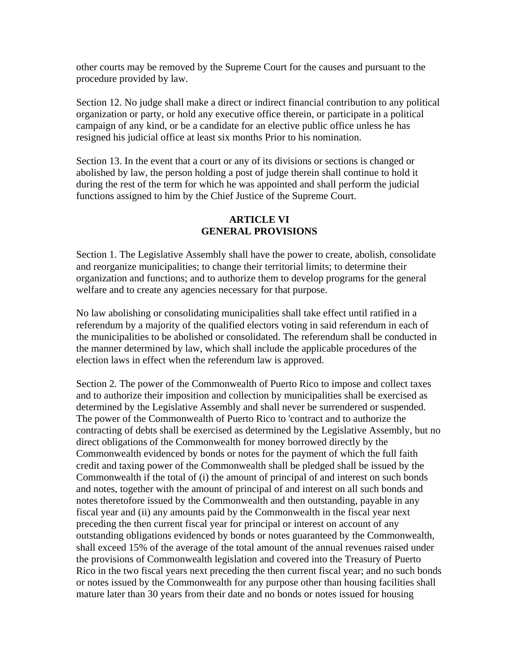other courts may be removed by the Supreme Court for the causes and pursuant to the procedure provided by law.

Section 12. No judge shall make a direct or indirect financial contribution to any political organization or party, or hold any executive office therein, or participate in a political campaign of any kind, or be a candidate for an elective public office unless he has resigned his judicial office at least six months Prior to his nomination.

Section 13. In the event that a court or any of its divisions or sections is changed or abolished by law, the person holding a post of judge therein shall continue to hold it during the rest of the term for which he was appointed and shall perform the judicial functions assigned to him by the Chief Justice of the Supreme Court.

## **ARTICLE VI GENERAL PROVISIONS**

Section 1. The Legislative Assembly shall have the power to create, abolish, consolidate and reorganize municipalities; to change their territorial limits; to determine their organization and functions; and to authorize them to develop programs for the general welfare and to create any agencies necessary for that purpose.

No law abolishing or consolidating municipalities shall take effect until ratified in a referendum by a majority of the qualified electors voting in said referendum in each of the municipalities to be abolished or consolidated. The referendum shall be conducted in the manner determined by law, which shall include the applicable procedures of the election laws in effect when the referendum law is approved.

Section 2. The power of the Commonwealth of Puerto Rico to impose and collect taxes and to authorize their imposition and collection by municipalities shall be exercised as determined by the Legislative Assembly and shall never be surrendered or suspended. The power of the Commonwealth of Puerto Rico to 'contract and to authorize the contracting of debts shall be exercised as determined by the Legislative Assembly, but no direct obligations of the Commonwealth for money borrowed directly by the Commonwealth evidenced by bonds or notes for the payment of which the full faith credit and taxing power of the Commonwealth shall be pledged shall be issued by the Commonwealth if the total of (i) the amount of principal of and interest on such bonds and notes, together with the amount of principal of and interest on all such bonds and notes theretofore issued by the Commonwealth and then outstanding, payable in any fiscal year and (ii) any amounts paid by the Commonwealth in the fiscal year next preceding the then current fiscal year for principal or interest on account of any outstanding obligations evidenced by bonds or notes guaranteed by the Commonwealth, shall exceed 15% of the average of the total amount of the annual revenues raised under the provisions of Commonwealth legislation and covered into the Treasury of Puerto Rico in the two fiscal years next preceding the then current fiscal year; and no such bonds or notes issued by the Commonwealth for any purpose other than housing facilities shall mature later than 30 years from their date and no bonds or notes issued for housing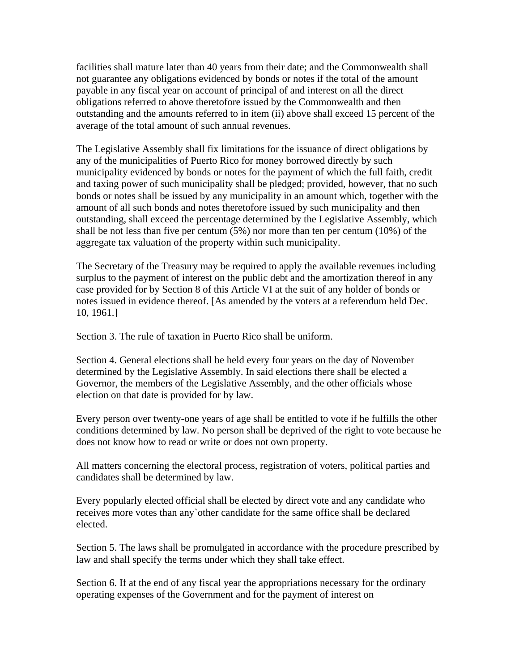facilities shall mature later than 40 years from their date; and the Commonwealth shall not guarantee any obligations evidenced by bonds or notes if the total of the amount payable in any fiscal year on account of principal of and interest on all the direct obligations referred to above theretofore issued by the Commonwealth and then outstanding and the amounts referred to in item (ii) above shall exceed 15 percent of the average of the total amount of such annual revenues.

The Legislative Assembly shall fix limitations for the issuance of direct obligations by any of the municipalities of Puerto Rico for money borrowed directly by such municipality evidenced by bonds or notes for the payment of which the full faith, credit and taxing power of such municipality shall be pledged; provided, however, that no such bonds or notes shall be issued by any municipality in an amount which, together with the amount of all such bonds and notes theretofore issued by such municipality and then outstanding, shall exceed the percentage determined by the Legislative Assembly, which shall be not less than five per centum (5%) nor more than ten per centum (10%) of the aggregate tax valuation of the property within such municipality.

The Secretary of the Treasury may be required to apply the available revenues including surplus to the payment of interest on the public debt and the amortization thereof in any case provided for by Section 8 of this Article VI at the suit of any holder of bonds or notes issued in evidence thereof. [As amended by the voters at a referendum held Dec. 10, 1961.]

Section 3. The rule of taxation in Puerto Rico shall be uniform.

Section 4. General elections shall be held every four years on the day of November determined by the Legislative Assembly. In said elections there shall be elected a Governor, the members of the Legislative Assembly, and the other officials whose election on that date is provided for by law.

Every person over twenty-one years of age shall be entitled to vote if he fulfills the other conditions determined by law. No person shall be deprived of the right to vote because he does not know how to read or write or does not own property.

All matters concerning the electoral process, registration of voters, political parties and candidates shall be determined by law.

Every popularly elected official shall be elected by direct vote and any candidate who receives more votes than any`other candidate for the same office shall be declared elected.

Section 5. The laws shall be promulgated in accordance with the procedure prescribed by law and shall specify the terms under which they shall take effect.

Section 6. If at the end of any fiscal year the appropriations necessary for the ordinary operating expenses of the Government and for the payment of interest on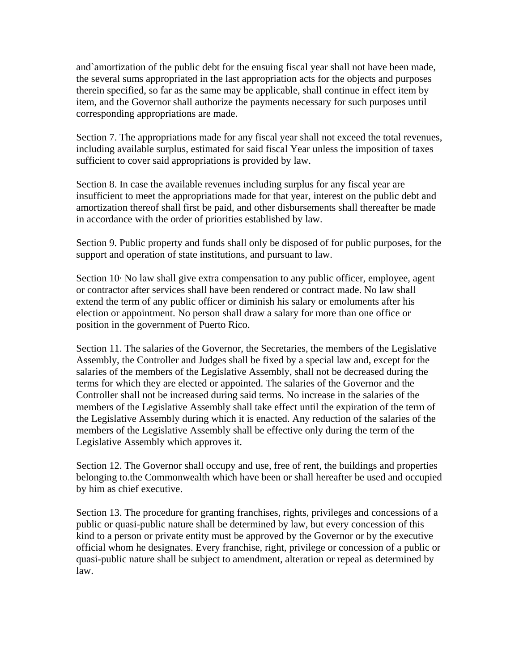and`amortization of the public debt for the ensuing fiscal year shall not have been made, the several sums appropriated in the last appropriation acts for the objects and purposes therein specified, so far as the same may be applicable, shall continue in effect item by item, and the Governor shall authorize the payments necessary for such purposes until corresponding appropriations are made.

Section 7. The appropriations made for any fiscal year shall not exceed the total revenues, including available surplus, estimated for said fiscal Year unless the imposition of taxes sufficient to cover said appropriations is provided by law.

Section 8. In case the available revenues including surplus for any fiscal year are insufficient to meet the appropriations made for that year, interest on the public debt and amortization thereof shall first be paid, and other disbursements shall thereafter be made in accordance with the order of priorities established by law.

Section 9. Public property and funds shall only be disposed of for public purposes, for the support and operation of state institutions, and pursuant to law.

Section 10· No law shall give extra compensation to any public officer, employee, agent or contractor after services shall have been rendered or contract made. No law shall extend the term of any public officer or diminish his salary or emoluments after his election or appointment. No person shall draw a salary for more than one office or position in the government of Puerto Rico.

Section 11. The salaries of the Governor, the Secretaries, the members of the Legislative Assembly, the Controller and Judges shall be fixed by a special law and, except for the salaries of the members of the Legislative Assembly, shall not be decreased during the terms for which they are elected or appointed. The salaries of the Governor and the Controller shall not be increased during said terms. No increase in the salaries of the members of the Legislative Assembly shall take effect until the expiration of the term of the Legislative Assembly during which it is enacted. Any reduction of the salaries of the members of the Legislative Assembly shall be effective only during the term of the Legislative Assembly which approves it.

Section 12. The Governor shall occupy and use, free of rent, the buildings and properties belonging to.the Commonwealth which have been or shall hereafter be used and occupied by him as chief executive.

Section 13. The procedure for granting franchises, rights, privileges and concessions of a public or quasi-public nature shall be determined by law, but every concession of this kind to a person or private entity must be approved by the Governor or by the executive official whom he designates. Every franchise, right, privilege or concession of a public or quasi-public nature shall be subject to amendment, alteration or repeal as determined by law.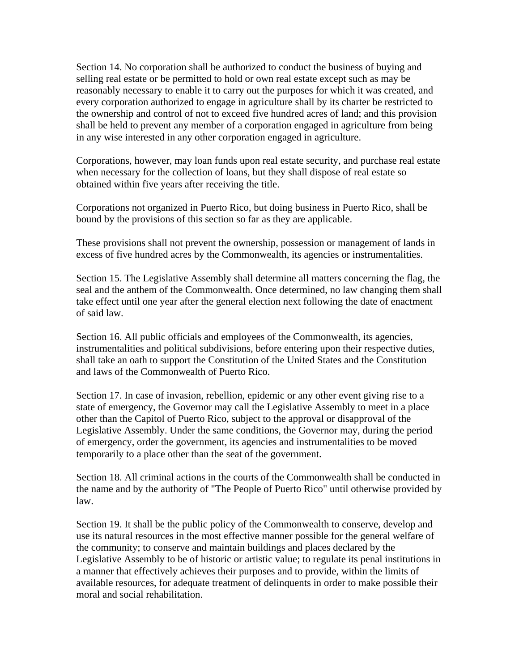Section 14. No corporation shall be authorized to conduct the business of buying and selling real estate or be permitted to hold or own real estate except such as may be reasonably necessary to enable it to carry out the purposes for which it was created, and every corporation authorized to engage in agriculture shall by its charter be restricted to the ownership and control of not to exceed five hundred acres of land; and this provision shall be held to prevent any member of a corporation engaged in agriculture from being in any wise interested in any other corporation engaged in agriculture.

Corporations, however, may loan funds upon real estate security, and purchase real estate when necessary for the collection of loans, but they shall dispose of real estate so obtained within five years after receiving the title.

Corporations not organized in Puerto Rico, but doing business in Puerto Rico, shall be bound by the provisions of this section so far as they are applicable.

These provisions shall not prevent the ownership, possession or management of lands in excess of five hundred acres by the Commonwealth, its agencies or instrumentalities.

Section 15. The Legislative Assembly shall determine all matters concerning the flag, the seal and the anthem of the Commonwealth. Once determined, no law changing them shall take effect until one year after the general election next following the date of enactment of said law.

Section 16. All public officials and employees of the Commonwealth, its agencies, instrumentalities and political subdivisions, before entering upon their respective duties, shall take an oath to support the Constitution of the United States and the Constitution and laws of the Commonwealth of Puerto Rico.

Section 17. In case of invasion, rebellion, epidemic or any other event giving rise to a state of emergency, the Governor may call the Legislative Assembly to meet in a place other than the Capitol of Puerto Rico, subject to the approval or disapproval of the Legislative Assembly. Under the same conditions, the Governor may, during the period of emergency, order the government, its agencies and instrumentalities to be moved temporarily to a place other than the seat of the government.

Section 18. All criminal actions in the courts of the Commonwealth shall be conducted in the name and by the authority of "The People of Puerto Rico" until otherwise provided by law.

Section 19. It shall be the public policy of the Commonwealth to conserve, develop and use its natural resources in the most effective manner possible for the general welfare of the community; to conserve and maintain buildings and places declared by the Legislative Assembly to be of historic or artistic value; to regulate its penal institutions in a manner that effectively achieves their purposes and to provide, within the limits of available resources, for adequate treatment of delinquents in order to make possible their moral and social rehabilitation.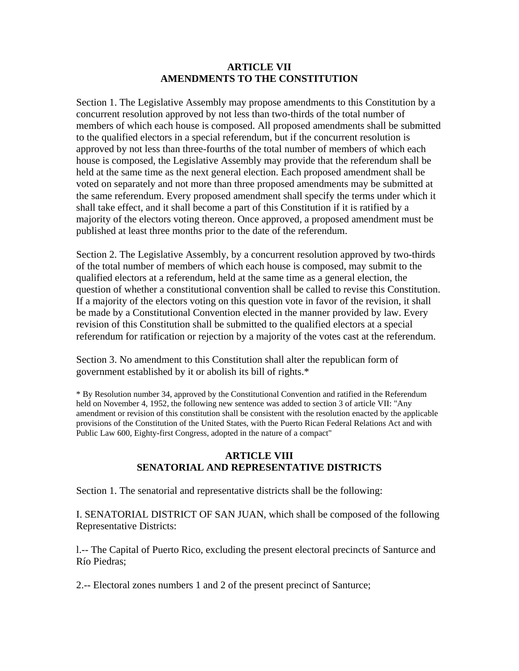#### **ARTICLE VII AMENDMENTS TO THE CONSTITUTION**

Section 1. The Legislative Assembly may propose amendments to this Constitution by a concurrent resolution approved by not less than two-thirds of the total number of members of which each house is composed. All proposed amendments shall be submitted to the qualified electors in a special referendum, but if the concurrent resolution is approved by not less than three-fourths of the total number of members of which each house is composed, the Legislative Assembly may provide that the referendum shall be held at the same time as the next general election. Each proposed amendment shall be voted on separately and not more than three proposed amendments may be submitted at the same referendum. Every proposed amendment shall specify the terms under which it shall take effect, and it shall become a part of this Constitution if it is ratified by a majority of the electors voting thereon. Once approved, a proposed amendment must be published at least three months prior to the date of the referendum.

Section 2. The Legislative Assembly, by a concurrent resolution approved by two-thirds of the total number of members of which each house is composed, may submit to the qualified electors at a referendum, held at the same time as a general election, the question of whether a constitutional convention shall be called to revise this Constitution. If a majority of the electors voting on this question vote in favor of the revision, it shall be made by a Constitutional Convention elected in the manner provided by law. Every revision of this Constitution shall be submitted to the qualified electors at a special referendum for ratification or rejection by a majority of the votes cast at the referendum.

Section 3. No amendment to this Constitution shall alter the republican form of government established by it or abolish its bill of rights.\*

\* By Resolution number 34, approved by the Constitutional Convention and ratified in the Referendum held on November 4, 1952, the following new sentence was added to section 3 of article VII: "Any amendment or revision of this constitution shall be consistent with the resolution enacted by the applicable provisions of the Constitution of the United States, with the Puerto Rican Federal Relations Act and with Public Law 600, Eighty-first Congress, adopted in the nature of a compact"

#### **ARTICLE VIII SENATORIAL AND REPRESENTATIVE DISTRICTS**

Section 1. The senatorial and representative districts shall be the following:

I. SENATORIAL DISTRICT OF SAN JUAN, which shall be composed of the following Representative Districts:

l.-- The Capital of Puerto Rico, excluding the present electoral precincts of Santurce and Río Piedras;

2.-- Electoral zones numbers 1 and 2 of the present precinct of Santurce;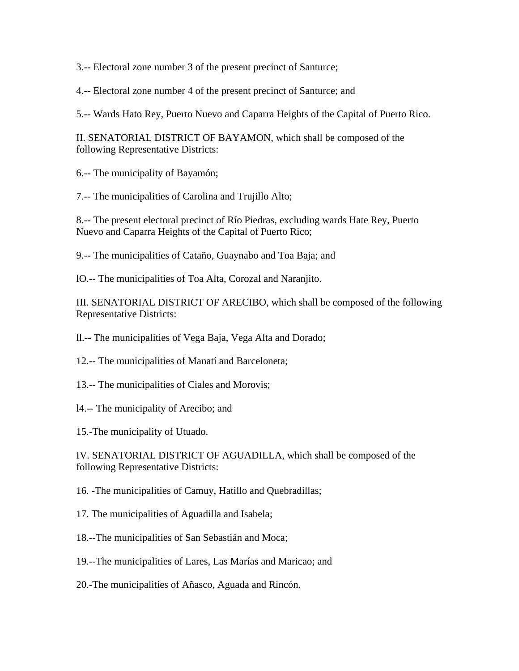3.-- Electoral zone number 3 of the present precinct of Santurce;

4.-- Electoral zone number 4 of the present precinct of Santurce; and

5.-- Wards Hato Rey, Puerto Nuevo and Caparra Heights of the Capital of Puerto Rico.

II. SENATORIAL DISTRICT OF BAYAMON, which shall be composed of the following Representative Districts:

6.-- The municipality of Bayamón;

7.-- The municipalities of Carolina and Trujillo Alto;

8.-- The present electoral precinct of Río Piedras, excluding wards Hate Rey, Puerto Nuevo and Caparra Heights of the Capital of Puerto Rico;

9.-- The municipalities of Cataño, Guaynabo and Toa Baja; and

lO.-- The municipalities of Toa Alta, Corozal and Naranjito.

III. SENATORIAL DISTRICT OF ARECIBO, which shall be composed of the following Representative Districts:

ll.-- The municipalities of Vega Baja, Vega Alta and Dorado;

12.-- The municipalities of Manatí and Barceloneta;

13.-- The municipalities of Ciales and Morovis;

l4.-- The municipality of Arecibo; and

15.-The municipality of Utuado.

IV. SENATORIAL DISTRICT OF AGUADILLA, which shall be composed of the following Representative Districts:

16. -The municipalities of Camuy, Hatillo and Quebradillas;

17. The municipalities of Aguadilla and Isabela;

18.--The municipalities of San Sebastián and Moca;

19.--The municipalities of Lares, Las Marías and Maricao; and

20.-The municipalities of Añasco, Aguada and Rincón.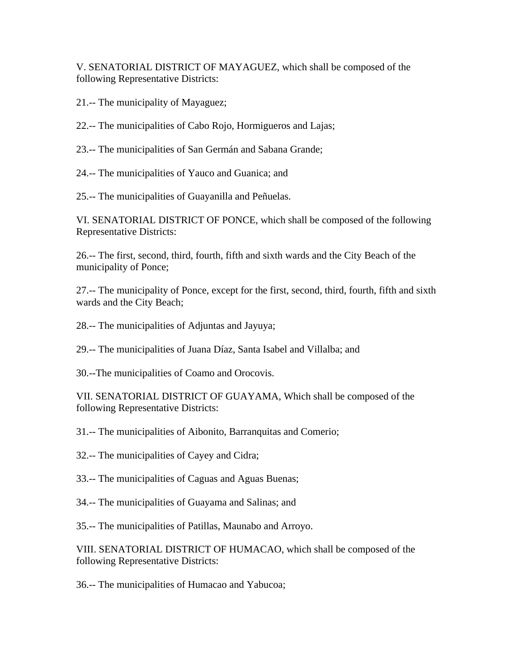V. SENATORIAL DISTRICT OF MAYAGUEZ, which shall be composed of the following Representative Districts:

21.-- The municipality of Mayaguez;

22.-- The municipalities of Cabo Rojo, Hormigueros and Lajas;

23.-- The municipalities of San Germán and Sabana Grande;

24.-- The municipalities of Yauco and Guanica; and

25.-- The municipalities of Guayanilla and Peñuelas.

VI. SENATORIAL DISTRICT OF PONCE, which shall be composed of the following Representative Districts:

26.-- The first, second, third, fourth, fifth and sixth wards and the City Beach of the municipality of Ponce;

27.-- The municipality of Ponce, except for the first, second, third, fourth, fifth and sixth wards and the City Beach;

28.-- The municipalities of Adjuntas and Jayuya;

29.-- The municipalities of Juana Díaz, Santa Isabel and Villalba; and

30.--The municipalities of Coamo and Orocovis.

VII. SENATORIAL DISTRICT OF GUAYAMA, Which shall be composed of the following Representative Districts:

31.-- The municipalities of Aibonito, Barranquitas and Comerio;

32.-- The municipalities of Cayey and Cidra;

33.-- The municipalities of Caguas and Aguas Buenas;

34.-- The municipalities of Guayama and Salinas; and

35.-- The municipalities of Patillas, Maunabo and Arroyo.

VIII. SENATORIAL DISTRICT OF HUMACAO, which shall be composed of the following Representative Districts:

36.-- The municipalities of Humacao and Yabucoa;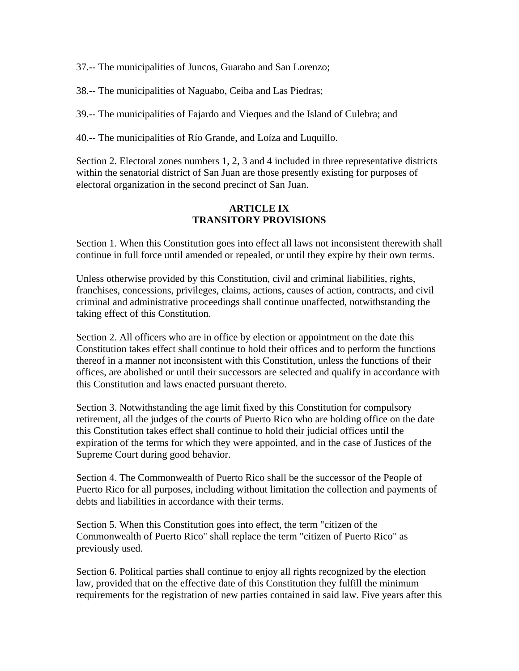37.-- The municipalities of Juncos, Guarabo and San Lorenzo;

38.-- The municipalities of Naguabo, Ceiba and Las Piedras;

39.-- The municipalities of Fajardo and Vieques and the Island of Culebra; and

40.-- The municipalities of Río Grande, and Loíza and Luquillo.

Section 2. Electoral zones numbers 1, 2, 3 and 4 included in three representative districts within the senatorial district of San Juan are those presently existing for purposes of electoral organization in the second precinct of San Juan.

## **ARTICLE IX TRANSITORY PROVISIONS**

Section 1. When this Constitution goes into effect all laws not inconsistent therewith shall continue in full force until amended or repealed, or until they expire by their own terms.

Unless otherwise provided by this Constitution, civil and criminal liabilities, rights, franchises, concessions, privileges, claims, actions, causes of action, contracts, and civil criminal and administrative proceedings shall continue unaffected, notwithstanding the taking effect of this Constitution.

Section 2. All officers who are in office by election or appointment on the date this Constitution takes effect shall continue to hold their offices and to perform the functions thereof in a manner not inconsistent with this Constitution, unless the functions of their offices, are abolished or until their successors are selected and qualify in accordance with this Constitution and laws enacted pursuant thereto.

Section 3. Notwithstanding the age limit fixed by this Constitution for compulsory retirement, all the judges of the courts of Puerto Rico who are holding office on the date this Constitution takes effect shall continue to hold their judicial offices until the expiration of the terms for which they were appointed, and in the case of Justices of the Supreme Court during good behavior.

Section 4. The Commonwealth of Puerto Rico shall be the successor of the People of Puerto Rico for all purposes, including without limitation the collection and payments of debts and liabilities in accordance with their terms.

Section 5. When this Constitution goes into effect, the term "citizen of the Commonwealth of Puerto Rico" shall replace the term "citizen of Puerto Rico" as previously used.

Section 6. Political parties shall continue to enjoy all rights recognized by the election law, provided that on the effective date of this Constitution they fulfill the minimum requirements for the registration of new parties contained in said law. Five years after this